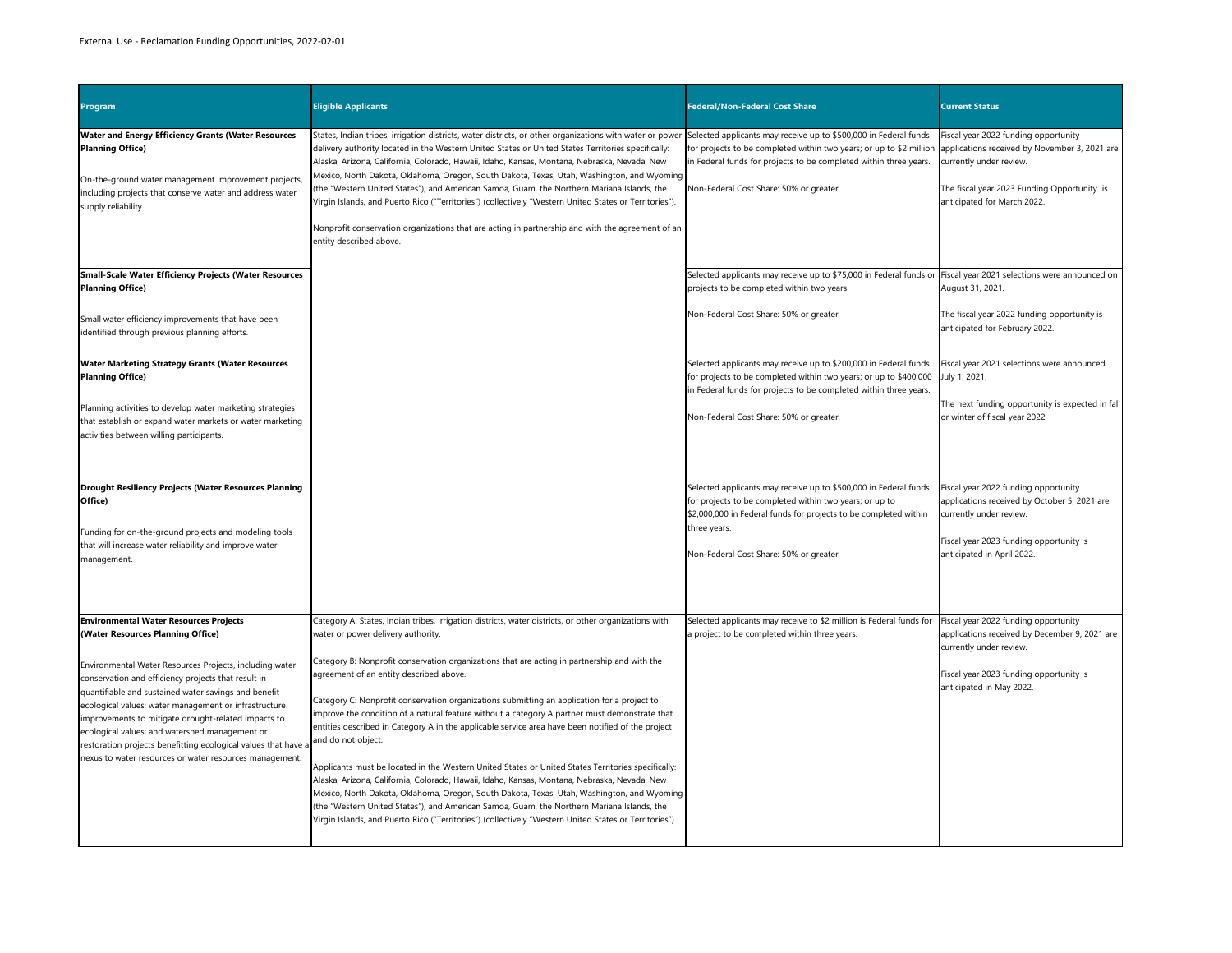| Program                                                                                                                                                                                                                                                                                                                                                                                                                                                               | <b>Eligible Applicants</b>                                                                                                                                                                                                                                                                                                                                                                                                                                                                                                                                                                                                                                                                                                                                                                                                                                                                                                                                                     | <b>Federal/Non-Federal Cost Share</b>                                                                                                                                                                                                                   | <b>Current Status</b>                                                                                                                                                                          |
|-----------------------------------------------------------------------------------------------------------------------------------------------------------------------------------------------------------------------------------------------------------------------------------------------------------------------------------------------------------------------------------------------------------------------------------------------------------------------|--------------------------------------------------------------------------------------------------------------------------------------------------------------------------------------------------------------------------------------------------------------------------------------------------------------------------------------------------------------------------------------------------------------------------------------------------------------------------------------------------------------------------------------------------------------------------------------------------------------------------------------------------------------------------------------------------------------------------------------------------------------------------------------------------------------------------------------------------------------------------------------------------------------------------------------------------------------------------------|---------------------------------------------------------------------------------------------------------------------------------------------------------------------------------------------------------------------------------------------------------|------------------------------------------------------------------------------------------------------------------------------------------------------------------------------------------------|
| <b>Water and Energy Efficiency Grants (Water Resources</b><br><b>Planning Office)</b><br>On-the-ground water management improvement projects,<br>including projects that conserve water and address water<br>supply reliability.                                                                                                                                                                                                                                      | States, Indian tribes, irrigation districts, water districts, or other organizations with water or power<br>delivery authority located in the Western United States or United States Territories specifically:<br>Alaska, Arizona, California, Colorado, Hawaii, Idaho, Kansas, Montana, Nebraska, Nevada, New<br>Mexico, North Dakota, Oklahoma, Oregon, South Dakota, Texas, Utah, Washington, and Wyoming<br>(the "Western United States"), and American Samoa, Guam, the Northern Mariana Islands, the<br>Virgin Islands, and Puerto Rico ("Territories") (collectively "Western United States or Territories").                                                                                                                                                                                                                                                                                                                                                           | Selected applicants may receive up to \$500,000 in Federal funds<br>for projects to be completed within two years; or up to \$2 million<br>in Federal funds for projects to be completed within three years.<br>Non-Federal Cost Share: 50% or greater. | Fiscal year 2022 funding opportunity<br>applications received by November 3, 2021 are<br>currently under review.<br>The fiscal year 2023 Funding Opportunity is<br>anticipated for March 2022. |
|                                                                                                                                                                                                                                                                                                                                                                                                                                                                       | Nonprofit conservation organizations that are acting in partnership and with the agreement of an<br>entity described above.                                                                                                                                                                                                                                                                                                                                                                                                                                                                                                                                                                                                                                                                                                                                                                                                                                                    |                                                                                                                                                                                                                                                         |                                                                                                                                                                                                |
| <b>Small-Scale Water Efficiency Projects (Water Resources</b><br><b>Planning Office)</b>                                                                                                                                                                                                                                                                                                                                                                              |                                                                                                                                                                                                                                                                                                                                                                                                                                                                                                                                                                                                                                                                                                                                                                                                                                                                                                                                                                                | Selected applicants may receive up to \$75,000 in Federal funds or Fiscal year 2021 selections were announced on<br>projects to be completed within two years.                                                                                          | August 31, 2021.                                                                                                                                                                               |
| Small water efficiency improvements that have been<br>identified through previous planning efforts.                                                                                                                                                                                                                                                                                                                                                                   |                                                                                                                                                                                                                                                                                                                                                                                                                                                                                                                                                                                                                                                                                                                                                                                                                                                                                                                                                                                | Non-Federal Cost Share: 50% or greater.                                                                                                                                                                                                                 | The fiscal year 2022 funding opportunity is<br>anticipated for February 2022.                                                                                                                  |
| <b>Water Marketing Strategy Grants (Water Resources</b><br><b>Planning Office)</b><br>Planning activities to develop water marketing strategies<br>that establish or expand water markets or water marketing<br>activities between willing participants.                                                                                                                                                                                                              |                                                                                                                                                                                                                                                                                                                                                                                                                                                                                                                                                                                                                                                                                                                                                                                                                                                                                                                                                                                | Selected applicants may receive up to \$200,000 in Federal funds<br>for projects to be completed within two years; or up to \$400,000<br>in Federal funds for projects to be completed within three years.<br>Non-Federal Cost Share: 50% or greater.   | Fiscal year 2021 selections were announced<br>July 1, 2021.<br>The next funding opportunity is expected in fall<br>or winter of fiscal year 2022                                               |
|                                                                                                                                                                                                                                                                                                                                                                                                                                                                       |                                                                                                                                                                                                                                                                                                                                                                                                                                                                                                                                                                                                                                                                                                                                                                                                                                                                                                                                                                                |                                                                                                                                                                                                                                                         |                                                                                                                                                                                                |
| <b>Drought Resiliency Projects (Water Resources Planning</b><br>Office)<br>Funding for on-the-ground projects and modeling tools                                                                                                                                                                                                                                                                                                                                      |                                                                                                                                                                                                                                                                                                                                                                                                                                                                                                                                                                                                                                                                                                                                                                                                                                                                                                                                                                                | Selected applicants may receive up to \$500,000 in Federal funds<br>for projects to be completed within two years; or up to<br>\$2,000,000 in Federal funds for projects to be completed within<br>three years.                                         | Fiscal year 2022 funding opportunity<br>applications received by October 5, 2021 are<br>currently under review.                                                                                |
| that will increase water reliability and improve water<br>management.                                                                                                                                                                                                                                                                                                                                                                                                 |                                                                                                                                                                                                                                                                                                                                                                                                                                                                                                                                                                                                                                                                                                                                                                                                                                                                                                                                                                                | Non-Federal Cost Share: 50% or greater.                                                                                                                                                                                                                 | Fiscal year 2023 funding opportunity is<br>anticipated in April 2022.                                                                                                                          |
| <b>Environmental Water Resources Projects</b><br>(Water Resources Planning Office)                                                                                                                                                                                                                                                                                                                                                                                    | Category A: States, Indian tribes, irrigation districts, water districts, or other organizations with<br>water or power delivery authority.                                                                                                                                                                                                                                                                                                                                                                                                                                                                                                                                                                                                                                                                                                                                                                                                                                    | Selected applicants may receive to \$2 million is Federal funds for<br>a project to be completed within three years.                                                                                                                                    | Fiscal year 2022 funding opportunity<br>applications received by December 9, 2021 are<br>currently under review.                                                                               |
| Environmental Water Resources Projects, including water<br>conservation and efficiency projects that result in<br>quantifiable and sustained water savings and benefit<br>ecological values; water management or infrastructure<br>improvements to mitigate drought-related impacts to<br>ecological values; and watershed management or<br>restoration projects benefitting ecological values that have a<br>nexus to water resources or water resources management. | Category B: Nonprofit conservation organizations that are acting in partnership and with the<br>agreement of an entity described above.<br>Category C: Nonprofit conservation organizations submitting an application for a project to<br>improve the condition of a natural feature without a category A partner must demonstrate that<br>entities described in Category A in the applicable service area have been notified of the project<br>and do not object.<br>Applicants must be located in the Western United States or United States Territories specifically:<br>Alaska, Arizona, California, Colorado, Hawaii, Idaho, Kansas, Montana, Nebraska, Nevada, New<br>Mexico, North Dakota, Oklahoma, Oregon, South Dakota, Texas, Utah, Washington, and Wyoming<br>(the "Western United States"), and American Samoa, Guam, the Northern Mariana Islands, the<br>Virgin Islands, and Puerto Rico ("Territories") (collectively "Western United States or Territories"). |                                                                                                                                                                                                                                                         | Fiscal year 2023 funding opportunity is<br>anticipated in May 2022.                                                                                                                            |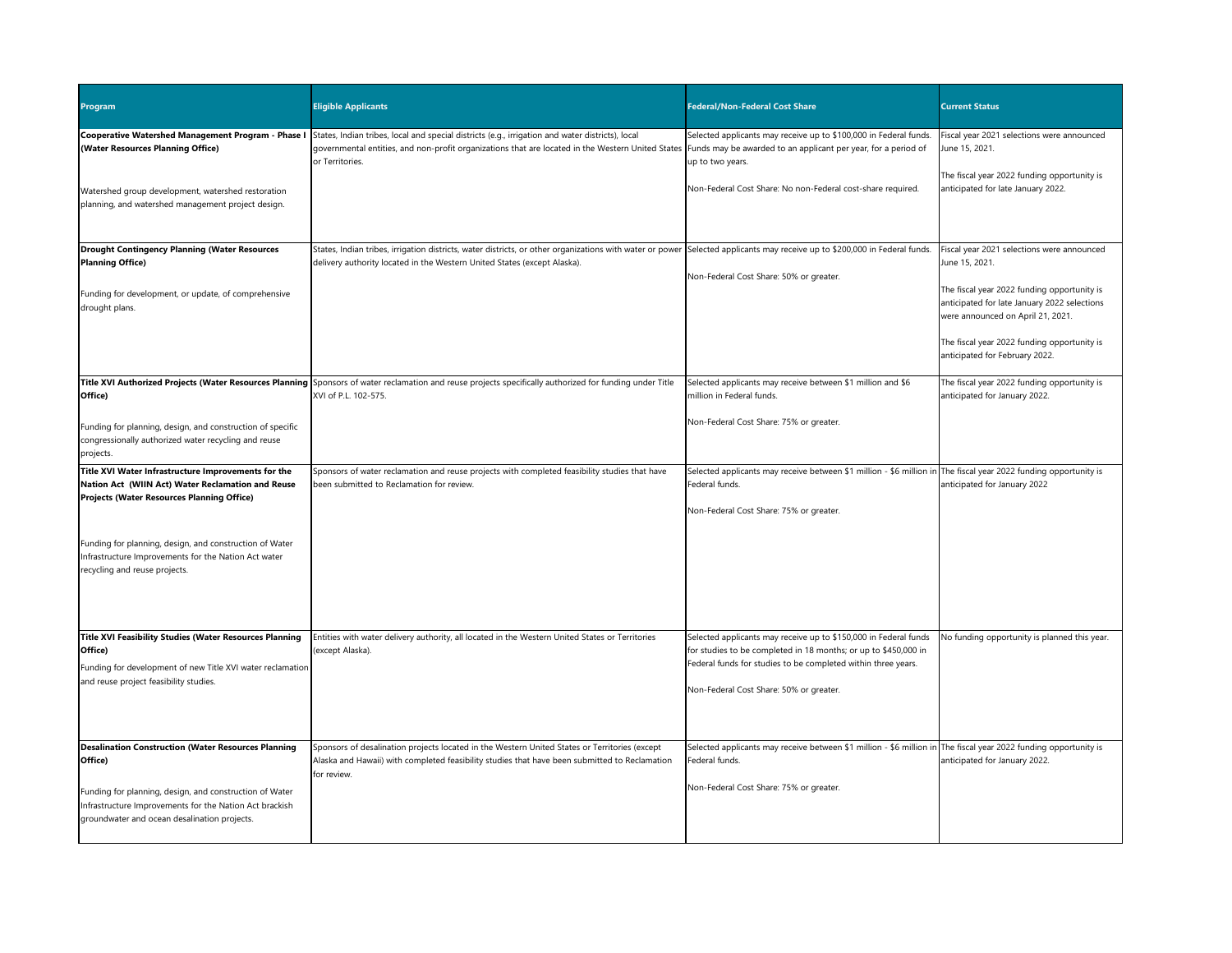| <b>Program</b>                                                                                                                                                                                                                              | <b>Eligible Applicants</b>                                                                                                                                                                                                                             | <b>Federal/Non-Federal Cost Share</b>                                                                                                                                                                                                           | <b>Current Status</b>                                                                                                                                                                            |
|---------------------------------------------------------------------------------------------------------------------------------------------------------------------------------------------------------------------------------------------|--------------------------------------------------------------------------------------------------------------------------------------------------------------------------------------------------------------------------------------------------------|-------------------------------------------------------------------------------------------------------------------------------------------------------------------------------------------------------------------------------------------------|--------------------------------------------------------------------------------------------------------------------------------------------------------------------------------------------------|
| Cooperative Watershed Management Program - Phase I<br>(Water Resources Planning Office)                                                                                                                                                     | States, Indian tribes, local and special districts (e.g., irrigation and water districts), local<br>governmental entities, and non-profit organizations that are located in the Western United States<br>or Territories.                               | Selected applicants may receive up to \$100,000 in Federal funds.<br>Funds may be awarded to an applicant per year, for a period of<br>up to two years.                                                                                         | Fiscal year 2021 selections were announced<br>June 15, 2021.                                                                                                                                     |
| Watershed group development, watershed restoration<br>planning, and watershed management project design.                                                                                                                                    |                                                                                                                                                                                                                                                        | Non-Federal Cost Share: No non-Federal cost-share required.                                                                                                                                                                                     | The fiscal year 2022 funding opportunity is<br>anticipated for late January 2022.                                                                                                                |
| <b>Drought Contingency Planning (Water Resources</b><br><b>Planning Office)</b><br>Funding for development, or update, of comprehensive<br>drought plans.                                                                                   | States, Indian tribes, irrigation districts, water districts, or other organizations with water or power Selected applicants may receive up to \$200,000 in Federal funds.<br>delivery authority located in the Western United States (except Alaska). | Non-Federal Cost Share: 50% or greater.                                                                                                                                                                                                         | Fiscal year 2021 selections were announced<br>June 15, 2021.<br>The fiscal year 2022 funding opportunity is<br>anticipated for late January 2022 selections<br>were announced on April 21, 2021. |
|                                                                                                                                                                                                                                             |                                                                                                                                                                                                                                                        |                                                                                                                                                                                                                                                 | The fiscal year 2022 funding opportunity is<br>anticipated for February 2022.                                                                                                                    |
| Office)                                                                                                                                                                                                                                     | Title XVI Authorized Projects (Water Resources Planning Sponsors of water reclamation and reuse projects specifically authorized for funding under Title<br>XVI of P.L. 102-575.                                                                       | Selected applicants may receive between \$1 million and \$6<br>million in Federal funds.                                                                                                                                                        | The fiscal year 2022 funding opportunity is<br>anticipated for January 2022.                                                                                                                     |
| Funding for planning, design, and construction of specific<br>congressionally authorized water recycling and reuse<br>projects.                                                                                                             |                                                                                                                                                                                                                                                        | Non-Federal Cost Share: 75% or greater.                                                                                                                                                                                                         |                                                                                                                                                                                                  |
| Title XVI Water Infrastructure Improvements for the<br>Nation Act (WIIN Act) Water Reclamation and Reuse<br><b>Projects (Water Resources Planning Office)</b>                                                                               | Sponsors of water reclamation and reuse projects with completed feasibility studies that have<br>been submitted to Reclamation for review.                                                                                                             | Selected applicants may receive between \$1 million - \$6 million in The fiscal year 2022 funding opportunity is<br>Federal funds.<br>Non-Federal Cost Share: 75% or greater.                                                                   | anticipated for January 2022                                                                                                                                                                     |
| Funding for planning, design, and construction of Water<br>Infrastructure Improvements for the Nation Act water<br>recycling and reuse projects.                                                                                            |                                                                                                                                                                                                                                                        |                                                                                                                                                                                                                                                 |                                                                                                                                                                                                  |
| <b>Title XVI Feasibility Studies (Water Resources Planning</b><br>Office)<br>Funding for development of new Title XVI water reclamation<br>and reuse project feasibility studies.                                                           | Entities with water delivery authority, all located in the Western United States or Territories<br>(except Alaska).                                                                                                                                    | Selected applicants may receive up to \$150,000 in Federal funds<br>for studies to be completed in 18 months; or up to \$450,000 in<br>Federal funds for studies to be completed within three years.<br>Non-Federal Cost Share: 50% or greater. | No funding opportunity is planned this year.                                                                                                                                                     |
| <b>Desalination Construction (Water Resources Planning</b><br>Office)<br>Funding for planning, design, and construction of Water<br>Infrastructure Improvements for the Nation Act brackish<br>groundwater and ocean desalination projects. | Sponsors of desalination projects located in the Western United States or Territories (except<br>Alaska and Hawaii) with completed feasibility studies that have been submitted to Reclamation<br>for review.                                          | Selected applicants may receive between \$1 million - \$6 million in The fiscal year 2022 funding opportunity is<br>Federal funds.<br>Non-Federal Cost Share: 75% or greater.                                                                   | anticipated for January 2022.                                                                                                                                                                    |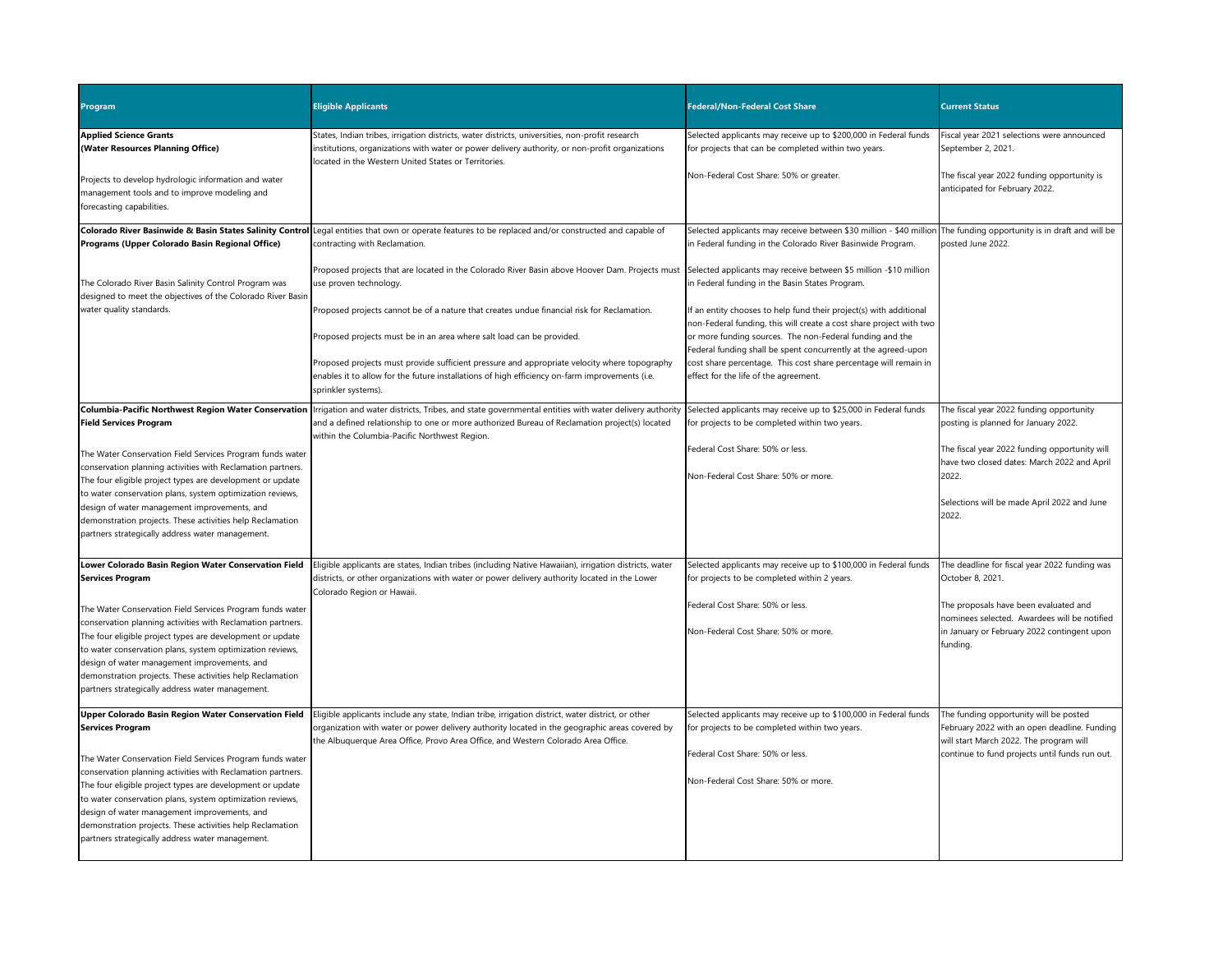| <b>Program</b>                                                                                                                                                                                                                                                                                                                                                                                                                                                                                         | <b>Eligible Applicants</b>                                                                                                                                                                                                                                                                | <b>Federal/Non-Federal Cost Share</b>                                                                                                                                                                 | <b>Current Status</b>                                                                                                                                                               |
|--------------------------------------------------------------------------------------------------------------------------------------------------------------------------------------------------------------------------------------------------------------------------------------------------------------------------------------------------------------------------------------------------------------------------------------------------------------------------------------------------------|-------------------------------------------------------------------------------------------------------------------------------------------------------------------------------------------------------------------------------------------------------------------------------------------|-------------------------------------------------------------------------------------------------------------------------------------------------------------------------------------------------------|-------------------------------------------------------------------------------------------------------------------------------------------------------------------------------------|
| <b>Applied Science Grants</b><br>(Water Resources Planning Office)                                                                                                                                                                                                                                                                                                                                                                                                                                     | States, Indian tribes, irrigation districts, water districts, universities, non-profit research<br>institutions, organizations with water or power delivery authority, or non-profit organizations<br>located in the Western United States or Territories.                                | Selected applicants may receive up to \$200,000 in Federal funds<br>for projects that can be completed within two years.                                                                              | Fiscal year 2021 selections were announced<br>September 2, 2021.                                                                                                                    |
| Projects to develop hydrologic information and water<br>management tools and to improve modeling and<br>forecasting capabilities.                                                                                                                                                                                                                                                                                                                                                                      |                                                                                                                                                                                                                                                                                           | Non-Federal Cost Share: 50% or greater.                                                                                                                                                               | The fiscal year 2022 funding opportunity is<br>anticipated for February 2022.                                                                                                       |
| Programs (Upper Colorado Basin Regional Office)                                                                                                                                                                                                                                                                                                                                                                                                                                                        | Colorado River Basinwide & Basin States Salinity Control Legal entities that own or operate features to be replaced and/or constructed and capable of<br>contracting with Reclamation.                                                                                                    | Selected applicants may receive between \$30 million - \$40 million The funding opportunity is in draft and will be<br>in Federal funding in the Colorado River Basinwide Program.                    | posted June 2022.                                                                                                                                                                   |
| The Colorado River Basin Salinity Control Program was<br>designed to meet the objectives of the Colorado River Basin                                                                                                                                                                                                                                                                                                                                                                                   | Proposed projects that are located in the Colorado River Basin above Hoover Dam. Projects must Selected applicants may receive between \$5 million -\$10 million<br>use proven technology.                                                                                                | in Federal funding in the Basin States Program.                                                                                                                                                       |                                                                                                                                                                                     |
| water quality standards.                                                                                                                                                                                                                                                                                                                                                                                                                                                                               | Proposed projects cannot be of a nature that creates undue financial risk for Reclamation.<br>Proposed projects must be in an area where salt load can be provided.                                                                                                                       | If an entity chooses to help fund their project(s) with additional<br>non-Federal funding, this will create a cost share project with two<br>or more funding sources. The non-Federal funding and the |                                                                                                                                                                                     |
|                                                                                                                                                                                                                                                                                                                                                                                                                                                                                                        | Proposed projects must provide sufficient pressure and appropriate velocity where topography<br>enables it to allow for the future installations of high efficiency on-farm improvements (i.e.<br>sprinkler systems).                                                                     | Federal funding shall be spent concurrently at the agreed-upon<br>cost share percentage. This cost share percentage will remain in<br>effect for the life of the agreement.                           |                                                                                                                                                                                     |
| <b>Columbia-Pacific Northwest Region Water Conservation</b><br><b>Field Services Program</b>                                                                                                                                                                                                                                                                                                                                                                                                           | Irrigation and water districts, Tribes, and state governmental entities with water delivery authority<br>and a defined relationship to one or more authorized Bureau of Reclamation project(s) located<br>within the Columbia-Pacific Northwest Region.                                   | Selected applicants may receive up to \$25,000 in Federal funds<br>for projects to be completed within two years.                                                                                     | The fiscal year 2022 funding opportunity<br>posting is planned for January 2022.                                                                                                    |
| The Water Conservation Field Services Program funds water<br>conservation planning activities with Reclamation partners.<br>The four eligible project types are development or update<br>to water conservation plans, system optimization reviews,<br>design of water management improvements, and<br>demonstration projects. These activities help Reclamation<br>partners strategically address water management.                                                                                    |                                                                                                                                                                                                                                                                                           | Federal Cost Share: 50% or less.<br>Non-Federal Cost Share: 50% or more.                                                                                                                              | The fiscal year 2022 funding opportunity will<br>have two closed dates: March 2022 and April<br>2022.<br>Selections will be made April 2022 and June<br>2022.                       |
| Lower Colorado Basin Region Water Conservation Field<br><b>Services Program</b>                                                                                                                                                                                                                                                                                                                                                                                                                        | Eligible applicants are states, Indian tribes (including Native Hawaiian), irrigation districts, water<br>districts, or other organizations with water or power delivery authority located in the Lower                                                                                   | Selected applicants may receive up to \$100,000 in Federal funds<br>for projects to be completed within 2 years.                                                                                      | The deadline for fiscal year 2022 funding was<br>October 8, 2021.                                                                                                                   |
| The Water Conservation Field Services Program funds water<br>conservation planning activities with Reclamation partners.<br>The four eligible project types are development or update<br>to water conservation plans, system optimization reviews,<br>design of water management improvements, and<br>demonstration projects. These activities help Reclamation<br>partners strategically address water management.                                                                                    | Colorado Region or Hawaii.                                                                                                                                                                                                                                                                | Federal Cost Share: 50% or less.<br>Non-Federal Cost Share: 50% or more.                                                                                                                              | The proposals have been evaluated and<br>nominees selected. Awardees will be notified<br>in January or February 2022 contingent upon<br>funding.                                    |
| Upper Colorado Basin Region Water Conservation Field<br><b>Services Program</b><br>The Water Conservation Field Services Program funds water<br>conservation planning activities with Reclamation partners.<br>The four eligible project types are development or update<br>to water conservation plans, system optimization reviews,<br>design of water management improvements, and<br>demonstration projects. These activities help Reclamation<br>partners strategically address water management. | Eligible applicants include any state, Indian tribe, irrigation district, water district, or other<br>organization with water or power delivery authority located in the geographic areas covered by<br>the Albuquerque Area Office, Provo Area Office, and Western Colorado Area Office. | Selected applicants may receive up to \$100,000 in Federal funds<br>for projects to be completed within two years.<br>Federal Cost Share: 50% or less.<br>Non-Federal Cost Share: 50% or more.        | The funding opportunity will be posted<br>February 2022 with an open deadline. Funding<br>will start March 2022. The program will<br>continue to fund projects until funds run out. |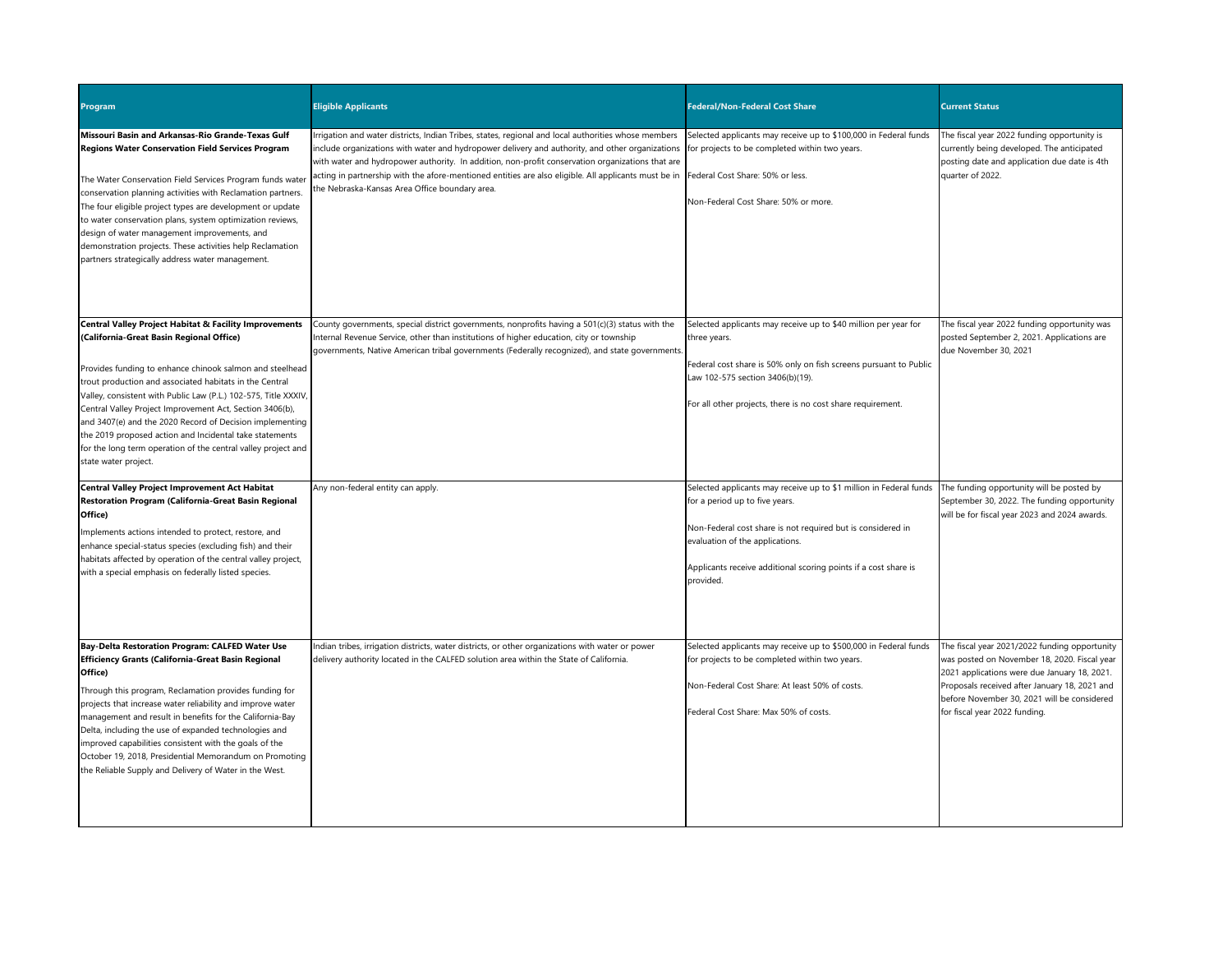| <b>Program</b>                                                                                                                                                                                                                                                                                                                                                                                                                                                                                                                                                           | <b>Eligible Applicants</b>                                                                                                                                                                                                                                                                                                                                                                                                                                                                                                                           | <b>Federal/Non-Federal Cost Share</b>                                                                                                                                                                                                                                                  | <b>Current Status</b>                                                                                                                                                                                                                                                          |
|--------------------------------------------------------------------------------------------------------------------------------------------------------------------------------------------------------------------------------------------------------------------------------------------------------------------------------------------------------------------------------------------------------------------------------------------------------------------------------------------------------------------------------------------------------------------------|------------------------------------------------------------------------------------------------------------------------------------------------------------------------------------------------------------------------------------------------------------------------------------------------------------------------------------------------------------------------------------------------------------------------------------------------------------------------------------------------------------------------------------------------------|----------------------------------------------------------------------------------------------------------------------------------------------------------------------------------------------------------------------------------------------------------------------------------------|--------------------------------------------------------------------------------------------------------------------------------------------------------------------------------------------------------------------------------------------------------------------------------|
| Missouri Basin and Arkansas-Rio Grande-Texas Gulf<br><b>Regions Water Conservation Field Services Program</b><br>The Water Conservation Field Services Program funds water<br>conservation planning activities with Reclamation partners.<br>The four eligible project types are development or update<br>to water conservation plans, system optimization reviews,<br>design of water management improvements, and<br>demonstration projects. These activities help Reclamation<br>partners strategically address water management.                                     | Irrigation and water districts, Indian Tribes, states, regional and local authorities whose members<br>include organizations with water and hydropower delivery and authority, and other organizations for projects to be completed within two years.<br>with water and hydropower authority. In addition, non-profit conservation organizations that are<br>acting in partnership with the afore-mentioned entities are also eligible. All applicants must be in Federal Cost Share: 50% or less.<br>the Nebraska-Kansas Area Office boundary area. | Selected applicants may receive up to \$100,000 in Federal funds<br>Non-Federal Cost Share: 50% or more.                                                                                                                                                                               | The fiscal year 2022 funding opportunity is<br>currently being developed. The anticipated<br>posting date and application due date is 4th<br>quarter of 2022.                                                                                                                  |
| Central Valley Project Habitat & Facility Improvements<br>(California-Great Basin Regional Office)<br>Provides funding to enhance chinook salmon and steelhead<br>trout production and associated habitats in the Central<br>Valley, consistent with Public Law (P.L.) 102-575, Title XXXIV,<br>Central Valley Project Improvement Act, Section 3406(b),<br>and 3407(e) and the 2020 Record of Decision implementing<br>the 2019 proposed action and Incidental take statements<br>for the long term operation of the central valley project and<br>state water project. | County governments, special district governments, nonprofits having a 501(c)(3) status with the<br>Internal Revenue Service, other than institutions of higher education, city or township<br>governments, Native American tribal governments (Federally recognized), and state governments.                                                                                                                                                                                                                                                         | Selected applicants may receive up to \$40 million per year for<br>three years.<br>Federal cost share is 50% only on fish screens pursuant to Public<br>Law 102-575 section 3406(b)(19).<br>For all other projects, there is no cost share requirement.                                | The fiscal year 2022 funding opportunity was<br>posted September 2, 2021. Applications are<br>due November 30, 2021                                                                                                                                                            |
| <b>Central Valley Project Improvement Act Habitat</b><br><b>Restoration Program (California-Great Basin Regional</b><br>Office)<br>Implements actions intended to protect, restore, and<br>enhance special-status species (excluding fish) and their<br>habitats affected by operation of the central valley project,<br>with a special emphasis on federally listed species.                                                                                                                                                                                            | Any non-federal entity can apply.                                                                                                                                                                                                                                                                                                                                                                                                                                                                                                                    | Selected applicants may receive up to \$1 million in Federal funds<br>for a period up to five years.<br>Non-Federal cost share is not required but is considered in<br>evaluation of the applications.<br>Applicants receive additional scoring points if a cost share is<br>provided. | The funding opportunity will be posted by<br>September 30, 2022. The funding opportunity<br>will be for fiscal year 2023 and 2024 awards.                                                                                                                                      |
| <b>Bay-Delta Restoration Program: CALFED Water Use</b><br>Efficiency Grants (California-Great Basin Regional<br>Office)<br>Through this program, Reclamation provides funding for<br>projects that increase water reliability and improve water<br>management and result in benefits for the California-Bay<br>Delta, including the use of expanded technologies and<br>improved capabilities consistent with the goals of the<br>October 19, 2018, Presidential Memorandum on Promoting<br>the Reliable Supply and Delivery of Water in the West.                       | Indian tribes, irrigation districts, water districts, or other organizations with water or power<br>delivery authority located in the CALFED solution area within the State of California.                                                                                                                                                                                                                                                                                                                                                           | Selected applicants may receive up to \$500,000 in Federal funds<br>for projects to be completed within two years.<br>Non-Federal Cost Share: At least 50% of costs.<br>Federal Cost Share: Max 50% of costs.                                                                          | The fiscal year 2021/2022 funding opportunity<br>was posted on November 18, 2020. Fiscal year<br>2021 applications were due January 18, 2021.<br>Proposals received after January 18, 2021 and<br>before November 30, 2021 will be considered<br>for fiscal year 2022 funding. |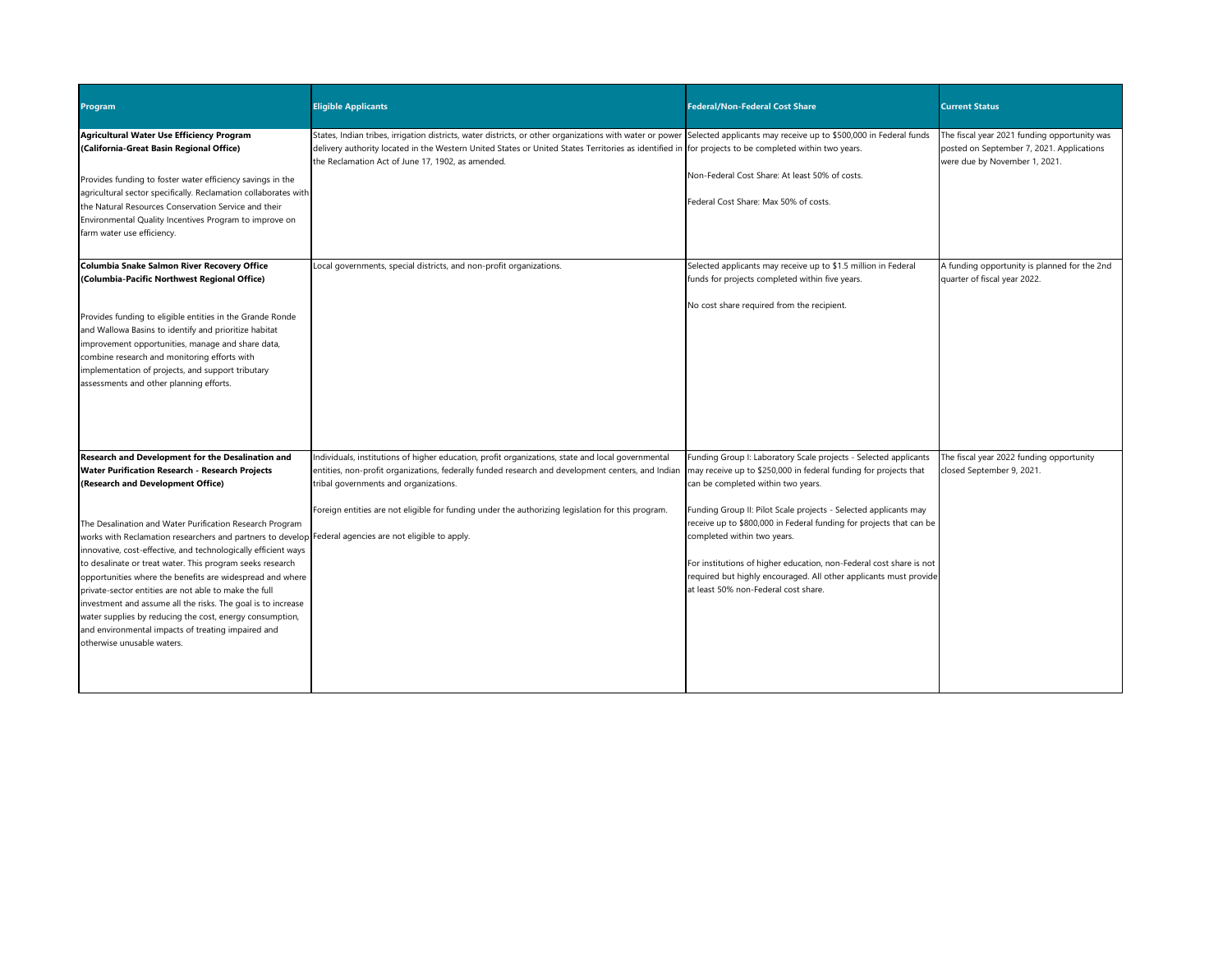| <b>Program</b>                                                                                                                                                                                                                                                                                                                                                                                                                                                                                                                                                                                                                                                                                                                                                                              | <b>Eligible Applicants</b>                                                                                                                                                                                                                                                                                                                                                             | <b>Federal/Non-Federal Cost Share</b>                                                                                                                                                                                                                                                                                                                                                                                                                                                                                                    | <b>Current Status</b>                                                                                                      |
|---------------------------------------------------------------------------------------------------------------------------------------------------------------------------------------------------------------------------------------------------------------------------------------------------------------------------------------------------------------------------------------------------------------------------------------------------------------------------------------------------------------------------------------------------------------------------------------------------------------------------------------------------------------------------------------------------------------------------------------------------------------------------------------------|----------------------------------------------------------------------------------------------------------------------------------------------------------------------------------------------------------------------------------------------------------------------------------------------------------------------------------------------------------------------------------------|------------------------------------------------------------------------------------------------------------------------------------------------------------------------------------------------------------------------------------------------------------------------------------------------------------------------------------------------------------------------------------------------------------------------------------------------------------------------------------------------------------------------------------------|----------------------------------------------------------------------------------------------------------------------------|
| Agricultural Water Use Efficiency Program<br>(California-Great Basin Regional Office)<br>Provides funding to foster water efficiency savings in the<br>agricultural sector specifically. Reclamation collaborates with<br>the Natural Resources Conservation Service and their<br>Environmental Quality Incentives Program to improve on<br>farm water use efficiency.                                                                                                                                                                                                                                                                                                                                                                                                                      | States, Indian tribes, irrigation districts, water districts, or other organizations with water or power Selected applicants may receive up to \$500,000 in Federal funds<br>delivery authority located in the Western United States or United States Territories as identified in for projects to be completed within two years.<br>the Reclamation Act of June 17, 1902, as amended. | Non-Federal Cost Share: At least 50% of costs.<br>Federal Cost Share: Max 50% of costs.                                                                                                                                                                                                                                                                                                                                                                                                                                                  | The fiscal year 2021 funding opportunity was<br>posted on September 7, 2021. Applications<br>were due by November 1, 2021. |
| Columbia Snake Salmon River Recovery Office<br>(Columbia-Pacific Northwest Regional Office)<br>Provides funding to eligible entities in the Grande Ronde<br>and Wallowa Basins to identify and prioritize habitat<br>improvement opportunities, manage and share data,<br>combine research and monitoring efforts with<br>implementation of projects, and support tributary<br>assessments and other planning efforts.                                                                                                                                                                                                                                                                                                                                                                      | Local governments, special districts, and non-profit organizations.                                                                                                                                                                                                                                                                                                                    | Selected applicants may receive up to \$1.5 million in Federal<br>funds for projects completed within five years.<br>No cost share required from the recipient.                                                                                                                                                                                                                                                                                                                                                                          | A funding opportunity is planned for the 2nd<br>quarter of fiscal year 2022.                                               |
| Research and Development for the Desalination and<br><b>Water Purification Research - Research Projects</b><br>(Research and Development Office)<br>The Desalination and Water Purification Research Program<br>works with Reclamation researchers and partners to develop Federal agencies are not eligible to apply.<br>innovative, cost-effective, and technologically efficient ways<br>to desalinate or treat water. This program seeks research<br>opportunities where the benefits are widespread and where<br>private-sector entities are not able to make the full<br>investment and assume all the risks. The goal is to increase<br>water supplies by reducing the cost, energy consumption,<br>and environmental impacts of treating impaired and<br>otherwise unusable waters. | Individuals, institutions of higher education, profit organizations, state and local governmental<br>entities, non-profit organizations, federally funded research and development centers, and Indian<br>tribal governments and organizations.<br>Foreign entities are not eligible for funding under the authorizing legislation for this program.                                   | Funding Group I: Laboratory Scale projects - Selected applicants<br>may receive up to \$250,000 in federal funding for projects that<br>can be completed within two years.<br>Funding Group II: Pilot Scale projects - Selected applicants may<br>receive up to \$800,000 in Federal funding for projects that can be<br>completed within two years.<br>For institutions of higher education, non-Federal cost share is not<br>required but highly encouraged. All other applicants must provide<br>at least 50% non-Federal cost share. | The fiscal year 2022 funding opportunity<br>closed September 9, 2021.                                                      |